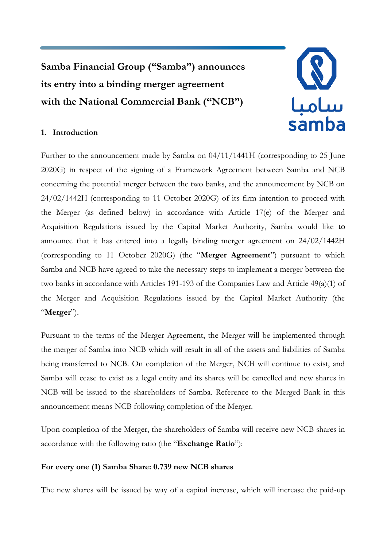**Samba Financial Group ("Samba") announces its entry into a binding merger agreement with the National Commercial Bank ("NCB")**



# **1. Introduction**

Further to the announcement made by Samba on 04/11/1441H (corresponding to 25 June 2020G) in respect of the signing of a Framework Agreement between Samba and NCB concerning the potential merger between the two banks, and the announcement by NCB on 24/02/1442H (corresponding to 11 October 2020G) of its firm intention to proceed with the Merger (as defined below) in accordance with Article 17(e) of the Merger and Acquisition Regulations issued by the Capital Market Authority, Samba would like **to** announce that it has entered into a legally binding merger agreement on 24/02/1442H (corresponding to 11 October 2020G) (the "**Merger Agreement**") pursuant to which Samba and NCB have agreed to take the necessary steps to implement a merger between the two banks in accordance with Articles 191-193 of the Companies Law and Article 49(a)(1) of the Merger and Acquisition Regulations issued by the Capital Market Authority (the "**Merger**").

Pursuant to the terms of the Merger Agreement, the Merger will be implemented through the merger of Samba into NCB which will result in all of the assets and liabilities of Samba being transferred to NCB. On completion of the Merger, NCB will continue to exist, and Samba will cease to exist as a legal entity and its shares will be cancelled and new shares in NCB will be issued to the shareholders of Samba. Reference to the Merged Bank in this announcement means NCB following completion of the Merger.

Upon completion of the Merger, the shareholders of Samba will receive new NCB shares in accordance with the following ratio (the "**Exchange Ratio**"):

## **For every one (1) Samba Share: 0.739 new NCB shares**

The new shares will be issued by way of a capital increase, which will increase the paid-up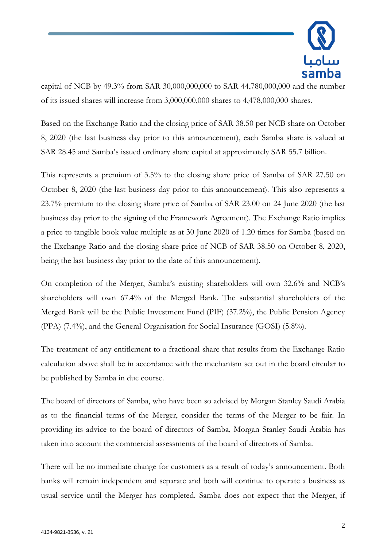

capital of NCB by 49.3% from SAR 30,000,000,000 to SAR 44,780,000,000 and the number of its issued shares will increase from 3,000,000,000 shares to 4,478,000,000 shares.

Based on the Exchange Ratio and the closing price of SAR 38.50 per NCB share on October 8, 2020 (the last business day prior to this announcement), each Samba share is valued at SAR 28.45 and Samba's issued ordinary share capital at approximately SAR 55.7 billion.

This represents a premium of 3.5% to the closing share price of Samba of SAR 27.50 on October 8, 2020 (the last business day prior to this announcement). This also represents a 23.7% premium to the closing share price of Samba of SAR 23.00 on 24 June 2020 (the last business day prior to the signing of the Framework Agreement). The Exchange Ratio implies a price to tangible book value multiple as at 30 June 2020 of 1.20 times for Samba (based on the Exchange Ratio and the closing share price of NCB of SAR 38.50 on October 8, 2020, being the last business day prior to the date of this announcement).

On completion of the Merger, Samba's existing shareholders will own 32.6% and NCB's shareholders will own 67.4% of the Merged Bank. The substantial shareholders of the Merged Bank will be the Public Investment Fund (PIF) (37.2%), the Public Pension Agency (PPA) (7.4%), and the General Organisation for Social Insurance (GOSI) (5.8%).

The treatment of any entitlement to a fractional share that results from the Exchange Ratio calculation above shall be in accordance with the mechanism set out in the board circular to be published by Samba in due course.

The board of directors of Samba, who have been so advised by Morgan Stanley Saudi Arabia as to the financial terms of the Merger, consider the terms of the Merger to be fair. In providing its advice to the board of directors of Samba, Morgan Stanley Saudi Arabia has taken into account the commercial assessments of the board of directors of Samba.

There will be no immediate change for customers as a result of today's announcement. Both banks will remain independent and separate and both will continue to operate a business as usual service until the Merger has completed. Samba does not expect that the Merger, if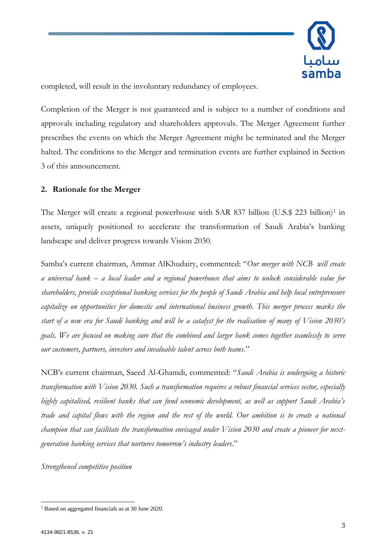

completed, will result in the involuntary redundancy of employees.

Completion of the Merger is not guaranteed and is subject to a number of conditions and approvals including regulatory and shareholders approvals. The Merger Agreement further prescribes the events on which the Merger Agreement might be terminated and the Merger halted. The conditions to the Merger and termination events are further explained in Section 3 of this announcement.

## **2. Rationale for the Merger**

The Merger will create a regional powerhouse with SAR 837 billion (U.S.\$ 223 billion)<sup>1</sup> in assets, uniquely positioned to accelerate the transformation of Saudi Arabia's banking landscape and deliver progress towards Vision 2030.

Samba's current chairman, Ammar AlKhudairy, commented: "*Our merger with NCB will create a universal bank – a local leader and a regional powerhouse that aims to unlock considerable value for shareholders, provide exceptional banking services for the people of Saudi Arabia and help local entrepreneurs capitalize on opportunities for domestic and international business growth. This merger process marks the start of a new era for Saudi banking and will be a catalyst for the realisation of many of Vision 2030's goals. We are focused on making sure that the combined and larger bank comes together seamlessly to serve our customers, partners, investors and invaluable talent across both teams*."

NCB's current chairman, Saeed Al-Ghamdi, commented: "*Saudi Arabia is undergoing a historic transformation with Vision 2030. Such a transformation requires a robust financial services sector, especially highly capitalised, resilient banks that can fund economic development, as well as support Saudi Arabia's trade and capital flows with the region and the rest of the world. Our ambition is to create a national champion that can facilitate the transformation envisaged under Vision 2030 and create a pioneer for nextgeneration banking services that nurtures tomorrow's industry leaders*."

*Strengthened competitive position*

<sup>1</sup> Based on aggregated financials as at 30 June 2020.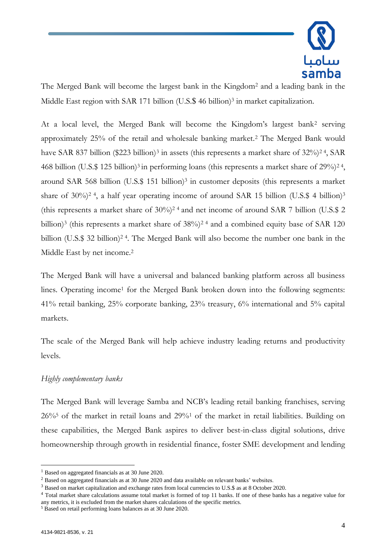

The Merged Bank will become the largest bank in the Kingdom<sup>2</sup> and a leading bank in the Middle East region with SAR 171 billion (U.S.\$ 46 billion)<sup>3</sup> in market capitalization.

At a local level, the Merged Bank will become the Kingdom's largest bank<sup>2</sup> serving approximately 25% of the retail and wholesale banking market.<sup>2</sup> The Merged Bank would have SAR 837 billion (\$223 billion)<sup>3</sup> in assets (this represents a market share of 32%)<sup>24</sup>, SAR 468 billion (U.S.\$ 125 billion)<sup>3</sup> in performing loans (this represents a market share of 29%)<sup>24</sup>, around SAR 568 billion (U.S.\$ 151 billion)<sup>3</sup> in customer deposits (this represents a market share of 30%)<sup>2</sup> <sup>4</sup>, a half year operating income of around SAR 15 billion (U.S.\$ 4 billion)<sup>3</sup> (this represents a market share of  $30\%$ )<sup>24</sup> and net income of around SAR 7 billion (U.S.\$ 2) billion)<sup>3</sup> (this represents a market share of 38%)<sup>24</sup> and a combined equity base of SAR 120 billion (U.S.\$ 32 billion)<sup>24</sup>. The Merged Bank will also become the number one bank in the Middle East by net income. 2

The Merged Bank will have a universal and balanced banking platform across all business lines. Operating income<sup>1</sup> for the Merged Bank broken down into the following segments: 41% retail banking, 25% corporate banking, 23% treasury, 6% international and 5% capital markets.

The scale of the Merged Bank will help achieve industry leading returns and productivity levels.

## *Highly complementary banks*

The Merged Bank will leverage Samba and NCB's leading retail banking franchises, serving 26%<sup>5</sup> of the market in retail loans and 29%<sup>1</sup> of the market in retail liabilities. Building on these capabilities, the Merged Bank aspires to deliver best-in-class digital solutions, drive homeownership through growth in residential finance, foster SME development and lending

<sup>&</sup>lt;sup>1</sup> Based on aggregated financials as at 30 June 2020.

<sup>&</sup>lt;sup>2</sup> Based on aggregated financials as at 30 June 2020 and data available on relevant banks' websites.

<sup>&</sup>lt;sup>3</sup> Based on market capitalization and exchange rates from local currencies to U.S.\$ as at 8 October 2020.

<sup>&</sup>lt;sup>4</sup> Total market share calculations assume total market is formed of top 11 banks. If one of these banks has a negative value for any metrics, it is excluded from the market shares calculations of the specific metrics.

<sup>5</sup> Based on retail performing loans balances as at 30 June 2020.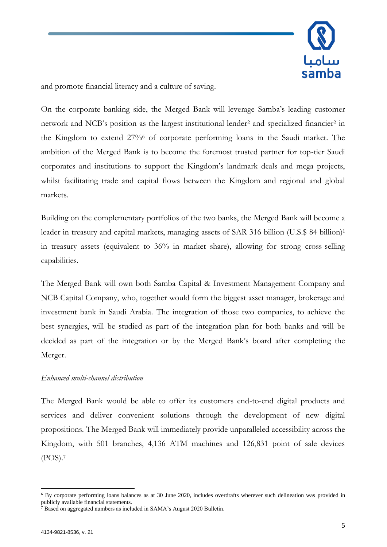

and promote financial literacy and a culture of saving.

On the corporate banking side, the Merged Bank will leverage Samba's leading customer network and NCB's position as the largest institutional lender<sup>2</sup> and specialized financier<sup>2</sup> in the Kingdom to extend 27%<sup>6</sup> of corporate performing loans in the Saudi market. The ambition of the Merged Bank is to become the foremost trusted partner for top-tier Saudi corporates and institutions to support the Kingdom's landmark deals and mega projects, whilst facilitating trade and capital flows between the Kingdom and regional and global markets.

Building on the complementary portfolios of the two banks, the Merged Bank will become a leader in treasury and capital markets, managing assets of SAR 316 billion (U.S.\$ 84 billion)<sup>1</sup> in treasury assets (equivalent to 36% in market share), allowing for strong cross-selling capabilities.

The Merged Bank will own both Samba Capital & Investment Management Company and NCB Capital Company, who, together would form the biggest asset manager, brokerage and investment bank in Saudi Arabia. The integration of those two companies, to achieve the best synergies, will be studied as part of the integration plan for both banks and will be decided as part of the integration or by the Merged Bank's board after completing the Merger.

### *Enhanced multi-channel distribution*

The Merged Bank would be able to offer its customers end-to-end digital products and services and deliver convenient solutions through the development of new digital propositions. The Merged Bank will immediately provide unparalleled accessibility across the Kingdom, with 501 branches, 4,136 ATM machines and 126,831 point of sale devices (POS).<sup>7</sup>

<sup>&</sup>lt;sup>6</sup> By corporate performing loans balances as at 30 June 2020, includes overdrafts wherever such delineation was provided in publicly available financial statements.

 $\overline{7}$  Based on aggregated numbers as included in SAMA's August 2020 Bulletin.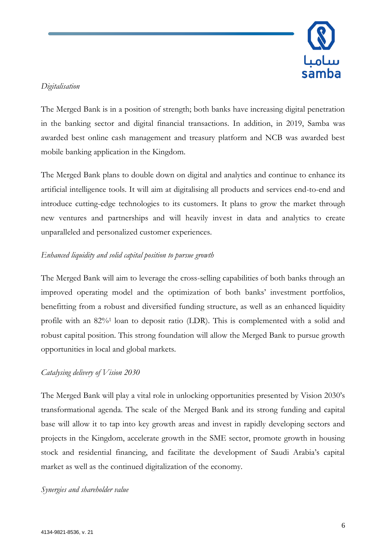

# *Digitalisation*

The Merged Bank is in a position of strength; both banks have increasing digital penetration in the banking sector and digital financial transactions. In addition, in 2019, Samba was awarded best online cash management and treasury platform and NCB was awarded best mobile banking application in the Kingdom.

The Merged Bank plans to double down on digital and analytics and continue to enhance its artificial intelligence tools. It will aim at digitalising all products and services end-to-end and introduce cutting-edge technologies to its customers. It plans to grow the market through new ventures and partnerships and will heavily invest in data and analytics to create unparalleled and personalized customer experiences.

# *Enhanced liquidity and solid capital position to pursue growth*

The Merged Bank will aim to leverage the cross-selling capabilities of both banks through an improved operating model and the optimization of both banks' investment portfolios, benefitting from a robust and diversified funding structure, as well as an enhanced liquidity profile with an 82%<sup>1</sup> loan to deposit ratio (LDR). This is complemented with a solid and robust capital position. This strong foundation will allow the Merged Bank to pursue growth opportunities in local and global markets.

# *Catalysing delivery of Vision 2030*

The Merged Bank will play a vital role in unlocking opportunities presented by Vision 2030's transformational agenda. The scale of the Merged Bank and its strong funding and capital base will allow it to tap into key growth areas and invest in rapidly developing sectors and projects in the Kingdom, accelerate growth in the SME sector, promote growth in housing stock and residential financing, and facilitate the development of Saudi Arabia's capital market as well as the continued digitalization of the economy.

## *Synergies and shareholder value*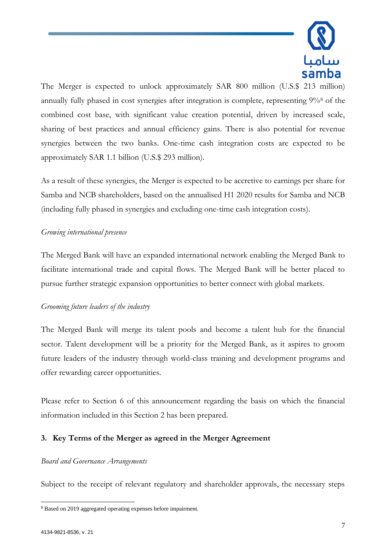

The Merger is expected to unlock approximately SAR 800 million (U.S.\$ 213 million) annually fully phased in cost synergies after integration is complete, representing 9%<sup>8</sup> of the combined cost base, with significant value creation potential, driven by increased scale, sharing of best practices and annual efficiency gains. There is also potential for revenue synergies between the two banks. One-time cash integration costs are expected to be approximately SAR 1.1 billion (U.S.\$ 293 million).

As a result of these synergies, the Merger is expected to be accretive to earnings per share for Samba and NCB shareholders, based on the annualised H1 2020 results for Samba and NCB (including fully phased in synergies and excluding one-time cash integration costs).

## *Growing international presence*

The Merged Bank will have an expanded international network enabling the Merged Bank to facilitate international trade and capital flows. The Merged Bank will be better placed to pursue further strategic expansion opportunities to better connect with global markets.

## *Grooming future leaders of the industry*

The Merged Bank will merge its talent pools and become a talent hub for the financial sector. Talent development will be a priority for the Merged Bank, as it aspires to groom future leaders of the industry through world-class training and development programs and offer rewarding career opportunities.

Please refer to Section 6 of this announcement regarding the basis on which the financial information included in this Section 2 has been prepared.

## **3. Key Terms of the Merger as agreed in the Merger Agreement**

### *Board and Governance Arrangements*

Subject to the receipt of relevant regulatory and shareholder approvals, the necessary steps

<sup>8</sup> Based on 2019 aggregated operating expenses before impairment.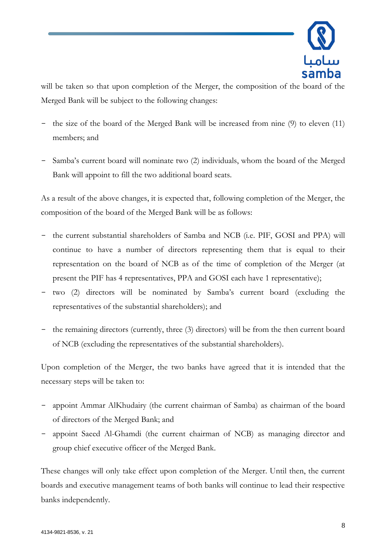

will be taken so that upon completion of the Merger, the composition of the board of the Merged Bank will be subject to the following changes:

- the size of the board of the Merged Bank will be increased from nine (9) to eleven (11) members; and
- Samba's current board will nominate two (2) individuals, whom the board of the Merged Bank will appoint to fill the two additional board seats.

As a result of the above changes, it is expected that, following completion of the Merger, the composition of the board of the Merged Bank will be as follows:

- the current substantial shareholders of Samba and NCB (i.e. PIF, GOSI and PPA) will continue to have a number of directors representing them that is equal to their representation on the board of NCB as of the time of completion of the Merger (at present the PIF has 4 representatives, PPA and GOSI each have 1 representative);
- two (2) directors will be nominated by Samba's current board (excluding the representatives of the substantial shareholders); and
- the remaining directors (currently, three (3) directors) will be from the then current board of NCB (excluding the representatives of the substantial shareholders).

Upon completion of the Merger, the two banks have agreed that it is intended that the necessary steps will be taken to:

- appoint Ammar AlKhudairy (the current chairman of Samba) as chairman of the board of directors of the Merged Bank; and
- appoint Saeed Al-Ghamdi (the current chairman of NCB) as managing director and group chief executive officer of the Merged Bank.

These changes will only take effect upon completion of the Merger. Until then, the current boards and executive management teams of both banks will continue to lead their respective banks independently.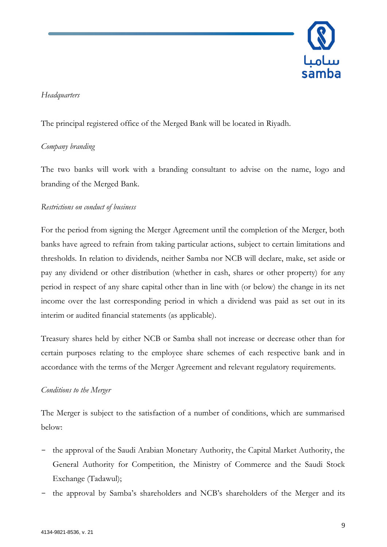

# *Headquarters*

The principal registered office of the Merged Bank will be located in Riyadh.

# *Company branding*

The two banks will work with a branding consultant to advise on the name, logo and branding of the Merged Bank.

# *Restrictions on conduct of business*

For the period from signing the Merger Agreement until the completion of the Merger, both banks have agreed to refrain from taking particular actions, subject to certain limitations and thresholds. In relation to dividends, neither Samba nor NCB will declare, make, set aside or pay any dividend or other distribution (whether in cash, shares or other property) for any period in respect of any share capital other than in line with (or below) the change in its net income over the last corresponding period in which a dividend was paid as set out in its interim or audited financial statements (as applicable).

Treasury shares held by either NCB or Samba shall not increase or decrease other than for certain purposes relating to the employee share schemes of each respective bank and in accordance with the terms of the Merger Agreement and relevant regulatory requirements.

## *Conditions to the Merger*

The Merger is subject to the satisfaction of a number of conditions, which are summarised below:

- the approval of the Saudi Arabian Monetary Authority, the Capital Market Authority, the General Authority for Competition, the Ministry of Commerce and the Saudi Stock Exchange (Tadawul);
- the approval by Samba's shareholders and NCB's shareholders of the Merger and its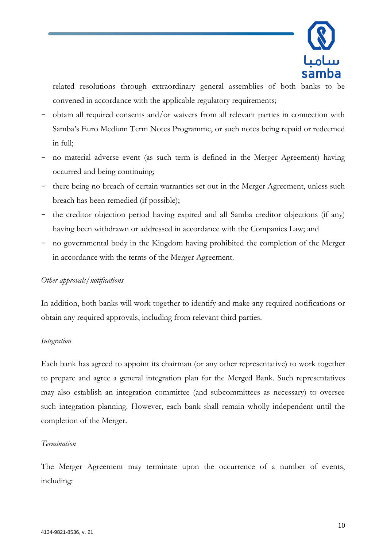

related resolutions through extraordinary general assemblies of both banks to be convened in accordance with the applicable regulatory requirements;

- obtain all required consents and/or waivers from all relevant parties in connection with Samba's Euro Medium Term Notes Programme, or such notes being repaid or redeemed in full;
- no material adverse event (as such term is defined in the Merger Agreement) having occurred and being continuing;
- there being no breach of certain warranties set out in the Merger Agreement, unless such breach has been remedied (if possible);
- the creditor objection period having expired and all Samba creditor objections (if any) having been withdrawn or addressed in accordance with the Companies Law; and
- no governmental body in the Kingdom having prohibited the completion of the Merger in accordance with the terms of the Merger Agreement.

## *Other approvals/notifications*

In addition, both banks will work together to identify and make any required notifications or obtain any required approvals, including from relevant third parties.

### *Integration*

Each bank has agreed to appoint its chairman (or any other representative) to work together to prepare and agree a general integration plan for the Merged Bank. Such representatives may also establish an integration committee (and subcommittees as necessary) to oversee such integration planning. However, each bank shall remain wholly independent until the completion of the Merger.

### *Termination*

The Merger Agreement may terminate upon the occurrence of a number of events, including: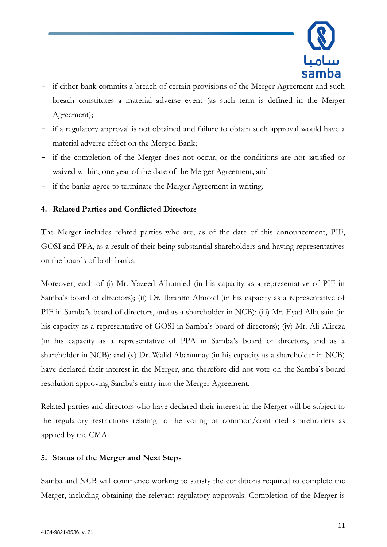

- if either bank commits a breach of certain provisions of the Merger Agreement and such breach constitutes a material adverse event (as such term is defined in the Merger Agreement);
- if a regulatory approval is not obtained and failure to obtain such approval would have a material adverse effect on the Merged Bank;
- if the completion of the Merger does not occur, or the conditions are not satisfied or waived within, one year of the date of the Merger Agreement; and
- if the banks agree to terminate the Merger Agreement in writing.

## **4. Related Parties and Conflicted Directors**

The Merger includes related parties who are, as of the date of this announcement, PIF, GOSI and PPA, as a result of their being substantial shareholders and having representatives on the boards of both banks.

Moreover, each of (i) Mr. Yazeed Alhumied (in his capacity as a representative of PIF in Samba's board of directors); (ii) Dr. Ibrahim Almojel (in his capacity as a representative of PIF in Samba's board of directors, and as a shareholder in NCB); (iii) Mr. Eyad Alhusain (in his capacity as a representative of GOSI in Samba's board of directors); (iv) Mr. Ali Alireza (in his capacity as a representative of PPA in Samba's board of directors, and as a shareholder in NCB); and (v) Dr. Walid Abanumay (in his capacity as a shareholder in NCB) have declared their interest in the Merger, and therefore did not vote on the Samba's board resolution approving Samba's entry into the Merger Agreement.

Related parties and directors who have declared their interest in the Merger will be subject to the regulatory restrictions relating to the voting of common/conflicted shareholders as applied by the CMA.

### **5. Status of the Merger and Next Steps**

Samba and NCB will commence working to satisfy the conditions required to complete the Merger, including obtaining the relevant regulatory approvals. Completion of the Merger is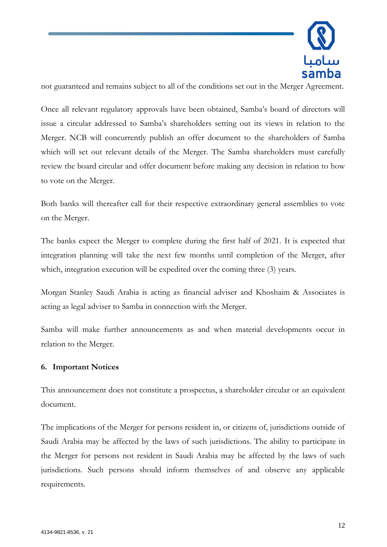

not guaranteed and remains subject to all of the conditions set out in the Merger Agreement.

Once all relevant regulatory approvals have been obtained, Samba's board of directors will issue a circular addressed to Samba's shareholders setting out its views in relation to the Merger. NCB will concurrently publish an offer document to the shareholders of Samba which will set out relevant details of the Merger. The Samba shareholders must carefully review the board circular and offer document before making any decision in relation to how to vote on the Merger.

Both banks will thereafter call for their respective extraordinary general assemblies to vote on the Merger.

The banks expect the Merger to complete during the first half of 2021. It is expected that integration planning will take the next few months until completion of the Merger, after which, integration execution will be expedited over the coming three  $(3)$  years.

Morgan Stanley Saudi Arabia is acting as financial adviser and Khoshaim & Associates is acting as legal adviser to Samba in connection with the Merger.

Samba will make further announcements as and when material developments occur in relation to the Merger.

### **6. Important Notices**

This announcement does not constitute a prospectus, a shareholder circular or an equivalent document.

The implications of the Merger for persons resident in, or citizens of, jurisdictions outside of Saudi Arabia may be affected by the laws of such jurisdictions. The ability to participate in the Merger for persons not resident in Saudi Arabia may be affected by the laws of such jurisdictions. Such persons should inform themselves of and observe any applicable requirements.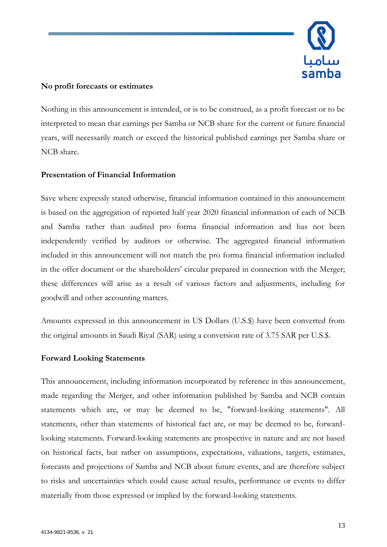

## **No profit forecasts or estimates**

Nothing in this announcement is intended, or is to be construed, as a profit forecast or to be interpreted to mean that earnings per Samba or NCB share for the current or future financial years, will necessarily match or exceed the historical published earnings per Samba share or NCB share.

## **Presentation of Financial Information**

Save where expressly stated otherwise, financial information contained in this announcement is based on the aggregation of reported half year 2020 financial information of each of NCB and Samba rather than audited pro forma financial information and has not been independently verified by auditors or otherwise. The aggregated financial information included in this announcement will not match the pro forma financial information included in the offer document or the shareholders' circular prepared in connection with the Merger; these differences will arise as a result of various factors and adjustments, including for goodwill and other accounting matters.

Amounts expressed in this announcement in US Dollars (U.S.\$) have been converted from the original amounts in Saudi Riyal (SAR) using a conversion rate of 3.75 SAR per U.S.\$.

### **Forward Looking Statements**

This announcement, including information incorporated by reference in this announcement, made regarding the Merger, and other information published by Samba and NCB contain statements which are, or may be deemed to be, "forward-looking statements". All statements, other than statements of historical fact are, or may be deemed to be, forwardlooking statements. Forward-looking statements are prospective in nature and are not based on historical facts, but rather on assumptions, expectations, valuations, targets, estimates, forecasts and projections of Samba and NCB about future events, and are therefore subject to risks and uncertainties which could cause actual results, performance or events to differ materially from those expressed or implied by the forward-looking statements.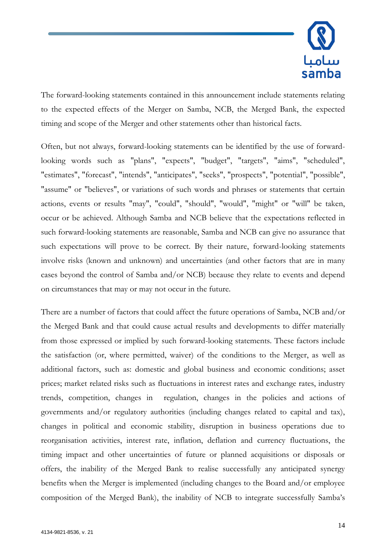

The forward-looking statements contained in this announcement include statements relating to the expected effects of the Merger on Samba, NCB, the Merged Bank, the expected timing and scope of the Merger and other statements other than historical facts.

Often, but not always, forward-looking statements can be identified by the use of forwardlooking words such as "plans", "expects", "budget", "targets", "aims", "scheduled", "estimates", "forecast", "intends", "anticipates", "seeks", "prospects", "potential", "possible", "assume" or "believes", or variations of such words and phrases or statements that certain actions, events or results "may", "could", "should", "would", "might" or "will" be taken, occur or be achieved. Although Samba and NCB believe that the expectations reflected in such forward-looking statements are reasonable, Samba and NCB can give no assurance that such expectations will prove to be correct. By their nature, forward-looking statements involve risks (known and unknown) and uncertainties (and other factors that are in many cases beyond the control of Samba and/or NCB) because they relate to events and depend on circumstances that may or may not occur in the future.

There are a number of factors that could affect the future operations of Samba, NCB and/or the Merged Bank and that could cause actual results and developments to differ materially from those expressed or implied by such forward-looking statements. These factors include the satisfaction (or, where permitted, waiver) of the conditions to the Merger, as well as additional factors, such as: domestic and global business and economic conditions; asset prices; market related risks such as fluctuations in interest rates and exchange rates, industry trends, competition, changes in regulation, changes in the policies and actions of governments and/or regulatory authorities (including changes related to capital and tax), changes in political and economic stability, disruption in business operations due to reorganisation activities, interest rate, inflation, deflation and currency fluctuations, the timing impact and other uncertainties of future or planned acquisitions or disposals or offers, the inability of the Merged Bank to realise successfully any anticipated synergy benefits when the Merger is implemented (including changes to the Board and/or employee composition of the Merged Bank), the inability of NCB to integrate successfully Samba's